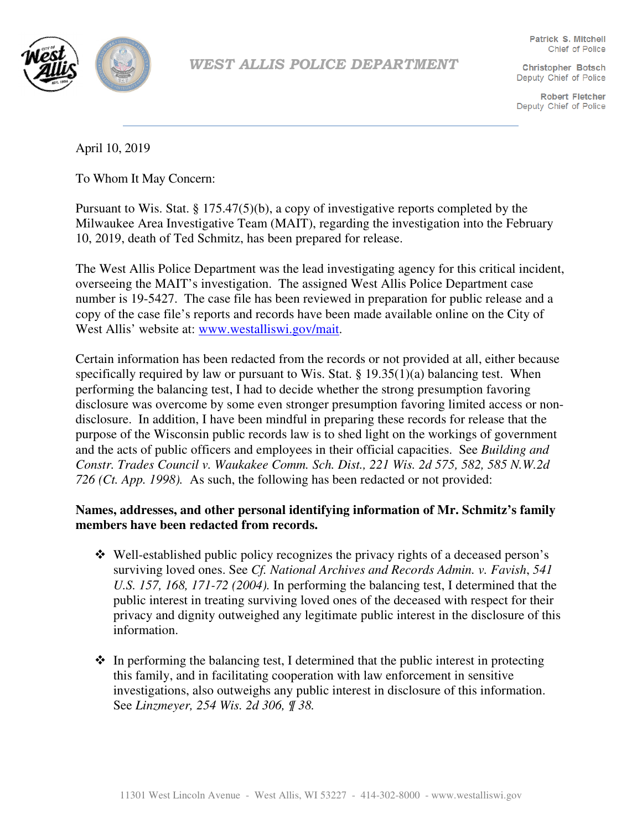

WEST ALLIS POLICE DEPARTMENT

**Patrick S. Mitchell** Chief of Police

**Christopher Botsch** Deputy Chief of Police

**Robert Fletcher** Deputy Chief of Police

April 10, 2019

To Whom It May Concern:

Pursuant to Wis. Stat. § 175.47(5)(b), a copy of investigative reports completed by the Milwaukee Area Investigative Team (MAIT), regarding the investigation into the February 10, 2019, death of Ted Schmitz, has been prepared for release.

The West Allis Police Department was the lead investigating agency for this critical incident, overseeing the MAIT's investigation. The assigned West Allis Police Department case number is 19-5427. The case file has been reviewed in preparation for public release and a copy of the case file's reports and records have been made available online on the City of West Allis' website at: www.westalliswi.gov/mait.

Certain information has been redacted from the records or not provided at all, either because specifically required by law or pursuant to Wis. Stat.  $\S 19.35(1)(a)$  balancing test. When performing the balancing test, I had to decide whether the strong presumption favoring disclosure was overcome by some even stronger presumption favoring limited access or nondisclosure. In addition, I have been mindful in preparing these records for release that the purpose of the Wisconsin public records law is to shed light on the workings of government and the acts of public officers and employees in their official capacities. See *Building and Constr. Trades Council v. Waukakee Comm. Sch. Dist., 221 Wis. 2d 575, 582, 585 N.W.2d 726 (Ct. App. 1998).* As such, the following has been redacted or not provided:

## **Names, addresses, and other personal identifying information of Mr. Schmitz's family members have been redacted from records.**

- Well-established public policy recognizes the privacy rights of a deceased person's surviving loved ones. See *Cf. National Archives and Records Admin. v. Favish*, *541 U.S. 157, 168, 171-72 (2004).* In performing the balancing test, I determined that the public interest in treating surviving loved ones of the deceased with respect for their privacy and dignity outweighed any legitimate public interest in the disclosure of this information.
- $\cdot$  In performing the balancing test, I determined that the public interest in protecting this family, and in facilitating cooperation with law enforcement in sensitive investigations, also outweighs any public interest in disclosure of this information. See *Linzmeyer, 254 Wis. 2d 306, ¶ 38.*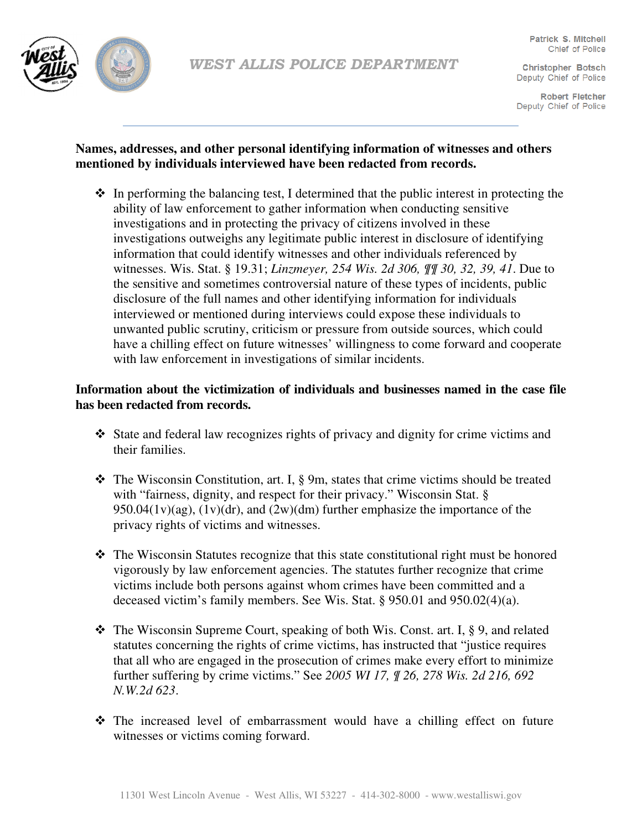

**Robert Fletcher** Deputy Chief of Police

# **Names, addresses, and other personal identifying information of witnesses and others mentioned by individuals interviewed have been redacted from records.**

 $\hat{\mathbf{v}}$  In performing the balancing test, I determined that the public interest in protecting the ability of law enforcement to gather information when conducting sensitive investigations and in protecting the privacy of citizens involved in these investigations outweighs any legitimate public interest in disclosure of identifying information that could identify witnesses and other individuals referenced by witnesses. Wis. Stat. § 19.31; *Linzmeyer, 254 Wis. 2d 306, ¶¶ 30, 32, 39, 41*. Due to the sensitive and sometimes controversial nature of these types of incidents, public disclosure of the full names and other identifying information for individuals interviewed or mentioned during interviews could expose these individuals to unwanted public scrutiny, criticism or pressure from outside sources, which could have a chilling effect on future witnesses' willingness to come forward and cooperate with law enforcement in investigations of similar incidents.

## **Information about the victimization of individuals and businesses named in the case file has been redacted from records.**

- State and federal law recognizes rights of privacy and dignity for crime victims and their families.
- The Wisconsin Constitution, art. I, § 9m, states that crime victims should be treated with "fairness, dignity, and respect for their privacy." Wisconsin Stat. § 950.04(1v)(ag),  $(1v)(dr)$ , and  $(2w)(dm)$  further emphasize the importance of the privacy rights of victims and witnesses.
- $\hat{\mathbf{v}}$  The Wisconsin Statutes recognize that this state constitutional right must be honored vigorously by law enforcement agencies. The statutes further recognize that crime victims include both persons against whom crimes have been committed and a deceased victim's family members. See Wis. Stat. § 950.01 and 950.02(4)(a).
- $\triangle$  The Wisconsin Supreme Court, speaking of both Wis. Const. art. I, § 9, and related statutes concerning the rights of crime victims, has instructed that "justice requires that all who are engaged in the prosecution of crimes make every effort to minimize further suffering by crime victims." See *2005 WI 17, ¶ 26, 278 Wis. 2d 216, 692 N.W.2d 623*.
- The increased level of embarrassment would have a chilling effect on future witnesses or victims coming forward.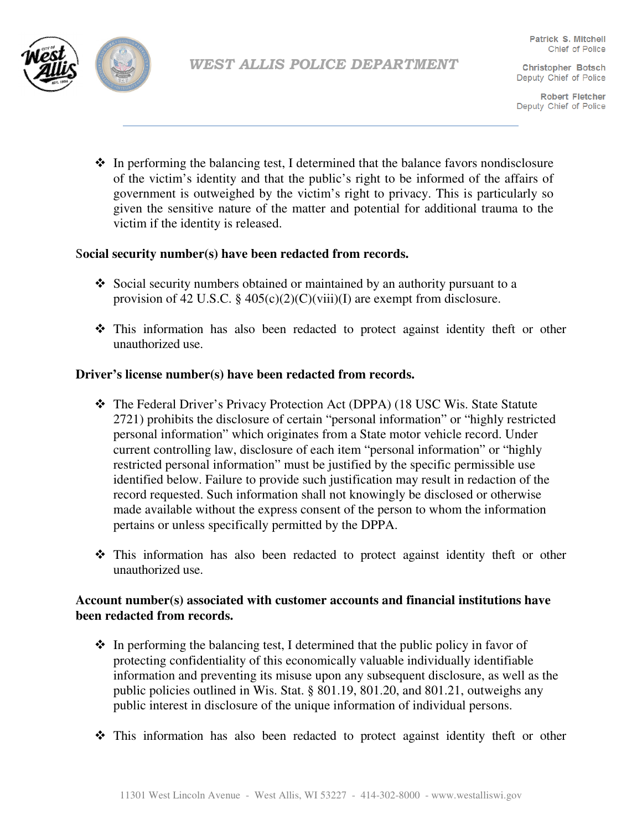

**Robert Fletcher** Deputy Chief of Police

 $\cdot \cdot$  In performing the balancing test, I determined that the balance favors nondisclosure of the victim's identity and that the public's right to be informed of the affairs of government is outweighed by the victim's right to privacy. This is particularly so given the sensitive nature of the matter and potential for additional trauma to the victim if the identity is released.

## S**ocial security number(s) have been redacted from records.**

- $\div$  Social security numbers obtained or maintained by an authority pursuant to a provision of 42 U.S.C.  $\S$  405(c)(2)(C)(viii)(I) are exempt from disclosure.
- This information has also been redacted to protect against identity theft or other unauthorized use.

## **Driver's license number(s) have been redacted from records.**

- The Federal Driver's Privacy Protection Act (DPPA) (18 USC Wis. State Statute 2721) prohibits the disclosure of certain "personal information" or "highly restricted personal information" which originates from a State motor vehicle record. Under current controlling law, disclosure of each item "personal information" or "highly restricted personal information" must be justified by the specific permissible use identified below. Failure to provide such justification may result in redaction of the record requested. Such information shall not knowingly be disclosed or otherwise made available without the express consent of the person to whom the information pertains or unless specifically permitted by the DPPA.
- This information has also been redacted to protect against identity theft or other unauthorized use.

## **Account number(s) associated with customer accounts and financial institutions have been redacted from records.**

- $\bullet$  In performing the balancing test, I determined that the public policy in favor of protecting confidentiality of this economically valuable individually identifiable information and preventing its misuse upon any subsequent disclosure, as well as the public policies outlined in Wis. Stat. § 801.19, 801.20, and 801.21, outweighs any public interest in disclosure of the unique information of individual persons.
- This information has also been redacted to protect against identity theft or other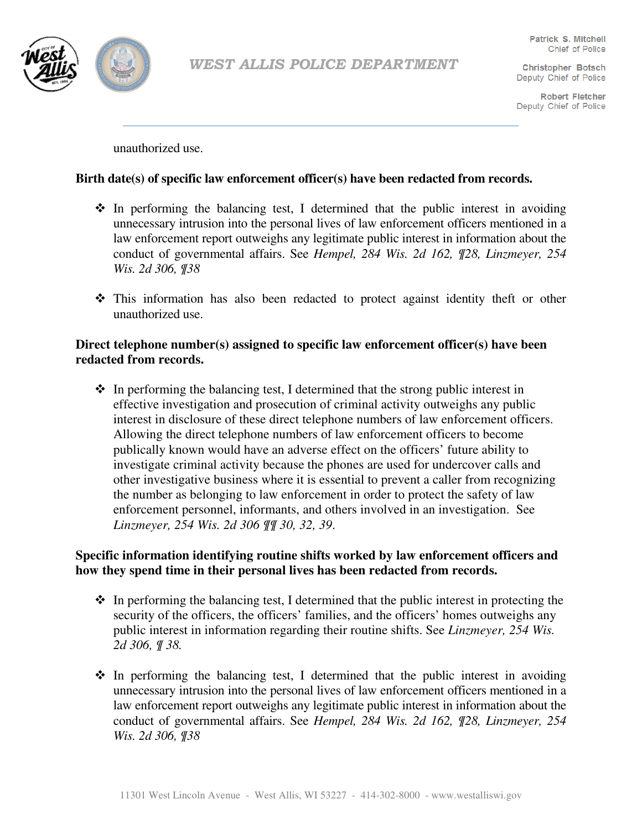

**Robert Fletcher** Deputy Chief of Police

unauthorized use.

#### **Birth date(s) of specific law enforcement officer(s) have been redacted from records.**

- $\div$  In performing the balancing test, I determined that the public interest in avoiding unnecessary intrusion into the personal lives of law enforcement officers mentioned in a law enforcement report outweighs any legitimate public interest in information about the conduct of governmental affairs. See *Hempel, 284 Wis. 2d 162, ¶28, Linzmeyer, 254 Wis. 2d 306, ¶38*
- This information has also been redacted to protect against identity theft or other unauthorized use.

### **Direct telephone number(s) assigned to specific law enforcement officer(s) have been redacted from records.**

 $\cdot$  In performing the balancing test, I determined that the strong public interest in effective investigation and prosecution of criminal activity outweighs any public interest in disclosure of these direct telephone numbers of law enforcement officers. Allowing the direct telephone numbers of law enforcement officers to become publically known would have an adverse effect on the officers' future ability to investigate criminal activity because the phones are used for undercover calls and other investigative business where it is essential to prevent a caller from recognizing the number as belonging to law enforcement in order to protect the safety of law enforcement personnel, informants, and others involved in an investigation. See *Linzmeyer, 254 Wis. 2d 306 ¶¶ 30, 32, 39*.

## **Specific information identifying routine shifts worked by law enforcement officers and how they spend time in their personal lives has been redacted from records.**

- $\bullet$  In performing the balancing test, I determined that the public interest in protecting the security of the officers, the officers' families, and the officers' homes outweighs any public interest in information regarding their routine shifts. See *Linzmeyer, 254 Wis. 2d 306, ¶ 38.*
- $\div$  In performing the balancing test, I determined that the public interest in avoiding unnecessary intrusion into the personal lives of law enforcement officers mentioned in a law enforcement report outweighs any legitimate public interest in information about the conduct of governmental affairs. See *Hempel, 284 Wis. 2d 162, ¶28, Linzmeyer, 254 Wis. 2d 306, ¶38*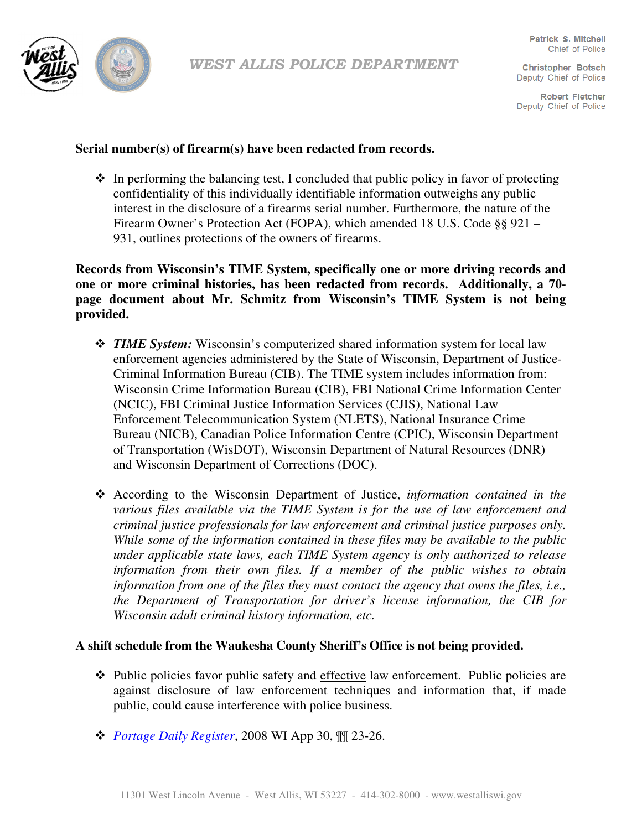

**Robert Fletcher** Deputy Chief of Police

## **Serial number(s) of firearm(s) have been redacted from records.**

 $\cdot$  In performing the balancing test, I concluded that public policy in favor of protecting confidentiality of this individually identifiable information outweighs any public interest in the disclosure of a firearms serial number. Furthermore, the nature of the Firearm Owner's Protection Act (FOPA), which amended 18 U.S. Code §§ 921 – 931, outlines protections of the owners of firearms.

**Records from Wisconsin's TIME System, specifically one or more driving records and one or more criminal histories, has been redacted from records. Additionally, a 70 page document about Mr. Schmitz from Wisconsin's TIME System is not being provided.** 

- *TIME System:* Wisconsin's computerized shared information system for local law enforcement agencies administered by the State of Wisconsin, Department of Justice-Criminal Information Bureau (CIB). The TIME system includes information from: Wisconsin Crime Information Bureau (CIB), FBI National Crime Information Center (NCIC), FBI Criminal Justice Information Services (CJIS), National Law Enforcement Telecommunication System (NLETS), National Insurance Crime Bureau (NICB), Canadian Police Information Centre (CPIC), Wisconsin Department of Transportation (WisDOT), Wisconsin Department of Natural Resources (DNR) and Wisconsin Department of Corrections (DOC).
- According to the Wisconsin Department of Justice, *information contained in the various files available via the TIME System is for the use of law enforcement and criminal justice professionals for law enforcement and criminal justice purposes only. While some of the information contained in these files may be available to the public under applicable state laws, each TIME System agency is only authorized to release information from their own files. If a member of the public wishes to obtain information from one of the files they must contact the agency that owns the files, i.e., the Department of Transportation for driver's license information, the CIB for Wisconsin adult criminal history information, etc.*

## **A shift schedule from the Waukesha County Sheriff's Office is not being provided.**

- $\triangle$  Public policies favor public safety and effective law enforcement. Public policies are against disclosure of law enforcement techniques and information that, if made public, could cause interference with police business.
- *Portage Daily Register*, 2008 WI App 30, ¶¶ 23-26.